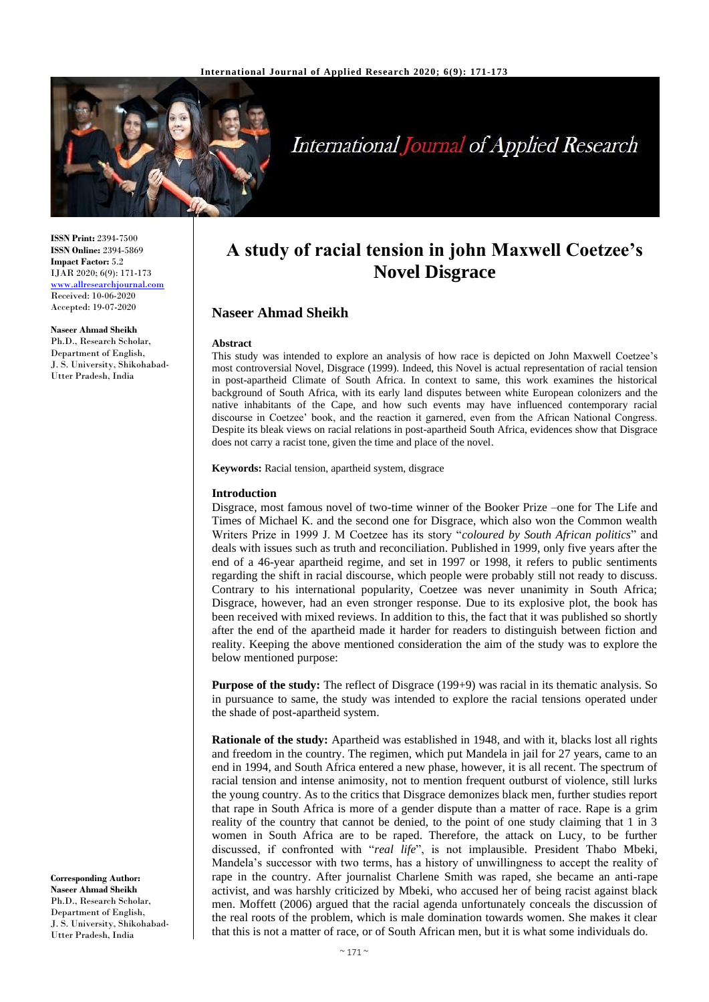

# **International Journal of Applied Research**

**ISSN Print:** 2394-7500 **ISSN Online:** 2394-5869 **Impact Factor:** 5.2 IJAR 2020; 6(9): 171-173 [www.allresearchjournal.com](http://www.allresearchjournal.com/) Received: 10-06-2020 Accepted: 19-07-2020

**Naseer Ahmad Sheikh** Ph.D., Research Scholar, Department of English, J. S. University, Shikohabad-Utter Pradesh, India

**A study of racial tension in john Maxwell Coetzee's Novel Disgrace**

## **Naseer Ahmad Sheikh**

## **Abstract**

This study was intended to explore an analysis of how race is depicted on John Maxwell Coetzee's most controversial Novel, Disgrace (1999). Indeed, this Novel is actual representation of racial tension in post-apartheid Climate of South Africa. In context to same, this work examines the historical background of South Africa, with its early land disputes between white European colonizers and the native inhabitants of the Cape, and how such events may have influenced contemporary racial discourse in Coetzee' book, and the reaction it garnered, even from the African National Congress. Despite its bleak views on racial relations in post-apartheid South Africa, evidences show that Disgrace does not carry a racist tone, given the time and place of the novel.

**Keywords:** Racial tension, apartheid system, disgrace

## **Introduction**

Disgrace, most famous novel of two-time winner of the Booker Prize –one for The Life and Times of Michael K. and the second one for Disgrace, which also won the Common wealth Writers Prize in 1999 J. M Coetzee has its story "*coloured by South African politics*" and deals with issues such as truth and reconciliation. Published in 1999, only five years after the end of a 46-year apartheid regime, and set in 1997 or 1998, it refers to public sentiments regarding the shift in racial discourse, which people were probably still not ready to discuss. Contrary to his international popularity, Coetzee was never unanimity in South Africa; Disgrace, however, had an even stronger response. Due to its explosive plot, the book has been received with mixed reviews. In addition to this, the fact that it was published so shortly after the end of the apartheid made it harder for readers to distinguish between fiction and reality. Keeping the above mentioned consideration the aim of the study was to explore the below mentioned purpose:

**Purpose of the study:** The reflect of Disgrace (199+9) was racial in its thematic analysis. So in pursuance to same, the study was intended to explore the racial tensions operated under the shade of post-apartheid system.

**Rationale of the study:** Apartheid was established in 1948, and with it, blacks lost all rights and freedom in the country. The regimen, which put Mandela in jail for 27 years, came to an end in 1994, and South Africa entered a new phase, however, it is all recent. The spectrum of racial tension and intense animosity, not to mention frequent outburst of violence, still lurks the young country. As to the critics that Disgrace demonizes black men, further studies report that rape in South Africa is more of a gender dispute than a matter of race. Rape is a grim reality of the country that cannot be denied, to the point of one study claiming that 1 in 3 women in South Africa are to be raped. Therefore, the attack on Lucy, to be further discussed, if confronted with "*real life*", is not implausible. President Thabo Mbeki, Mandela's successor with two terms, has a history of unwillingness to accept the reality of rape in the country. After journalist Charlene Smith was raped, she became an anti-rape activist, and was harshly criticized by Mbeki, who accused her of being racist against black men. Moffett (2006) argued that the racial agenda unfortunately conceals the discussion of the real roots of the problem, which is male domination towards women. She makes it clear that this is not a matter of race, or of South African men, but it is what some individuals do.

**Corresponding Author: Naseer Ahmad Sheikh** Ph.D., Research Scholar, Department of English, J. S. University, Shikohabad-Utter Pradesh, India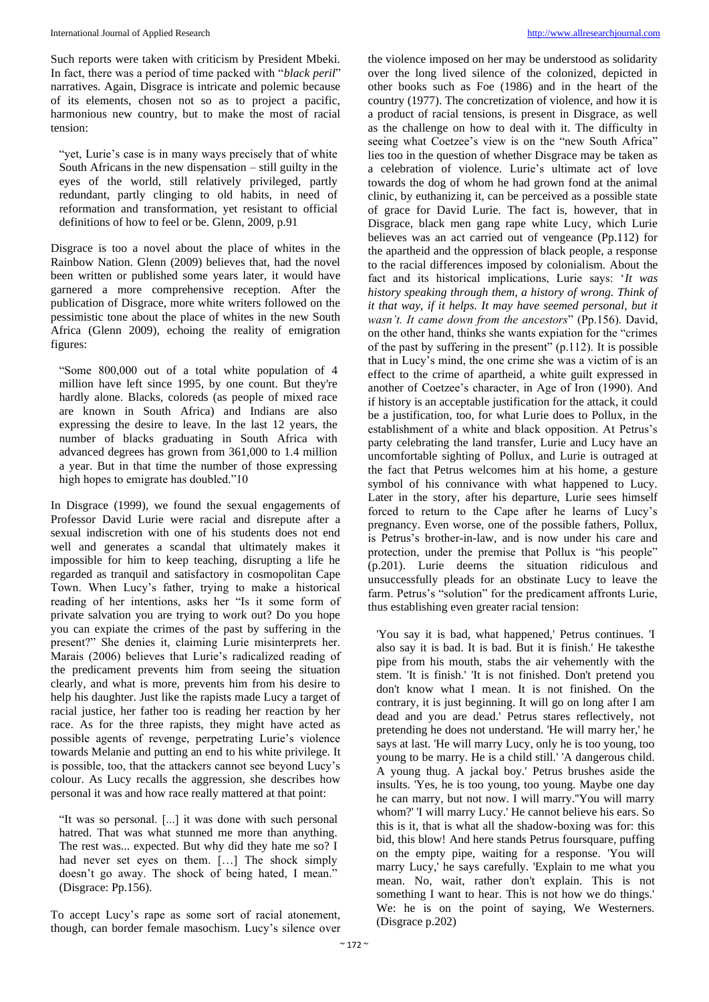Such reports were taken with criticism by President Mbeki. In fact, there was a period of time packed with "*black peril*" narratives. Again, Disgrace is intricate and polemic because of its elements, chosen not so as to project a pacific, harmonious new country, but to make the most of racial tension:

"yet, Lurie's case is in many ways precisely that of white South Africans in the new dispensation – still guilty in the eyes of the world, still relatively privileged, partly redundant, partly clinging to old habits, in need of reformation and transformation, yet resistant to official definitions of how to feel or be. Glenn, 2009, p.91

Disgrace is too a novel about the place of whites in the Rainbow Nation. Glenn (2009) believes that, had the novel been written or published some years later, it would have garnered a more comprehensive reception. After the publication of Disgrace, more white writers followed on the pessimistic tone about the place of whites in the new South Africa (Glenn 2009), echoing the reality of emigration figures:

"Some 800,000 out of a total white population of 4 million have left since 1995, by one count. But they're hardly alone. Blacks, coloreds (as people of mixed race are known in South Africa) and Indians are also expressing the desire to leave. In the last 12 years, the number of blacks graduating in South Africa with advanced degrees has grown from 361,000 to 1.4 million a year. But in that time the number of those expressing high hopes to emigrate has doubled."10

In Disgrace (1999), we found the sexual engagements of Professor David Lurie were racial and disrepute after a sexual indiscretion with one of his students does not end well and generates a scandal that ultimately makes it impossible for him to keep teaching, disrupting a life he regarded as tranquil and satisfactory in cosmopolitan Cape Town. When Lucy's father, trying to make a historical reading of her intentions, asks her "Is it some form of private salvation you are trying to work out? Do you hope you can expiate the crimes of the past by suffering in the present?" She denies it, claiming Lurie misinterprets her. Marais (2006) believes that Lurie's radicalized reading of the predicament prevents him from seeing the situation clearly, and what is more, prevents him from his desire to help his daughter. Just like the rapists made Lucy a target of racial justice, her father too is reading her reaction by her race. As for the three rapists, they might have acted as possible agents of revenge, perpetrating Lurie's violence towards Melanie and putting an end to his white privilege. It is possible, too, that the attackers cannot see beyond Lucy's colour. As Lucy recalls the aggression, she describes how personal it was and how race really mattered at that point:

"It was so personal. [...] it was done with such personal hatred. That was what stunned me more than anything. The rest was... expected. But why did they hate me so? I had never set eyes on them. [...] The shock simply doesn't go away. The shock of being hated, I mean." (Disgrace: Pp.156).

To accept Lucy's rape as some sort of racial atonement, though, can border female masochism. Lucy's silence over

the violence imposed on her may be understood as solidarity over the long lived silence of the colonized, depicted in other books such as Foe (1986) and in the heart of the country (1977). The concretization of violence, and how it is a product of racial tensions, is present in Disgrace, as well as the challenge on how to deal with it. The difficulty in seeing what Coetzee's view is on the "new South Africa" lies too in the question of whether Disgrace may be taken as a celebration of violence. Lurie's ultimate act of love towards the dog of whom he had grown fond at the animal clinic, by euthanizing it, can be perceived as a possible state of grace for David Lurie. The fact is, however, that in Disgrace, black men gang rape white Lucy, which Lurie believes was an act carried out of vengeance (Pp.112) for the apartheid and the oppression of black people, a response to the racial differences imposed by colonialism. About the fact and its historical implications, Lurie says: '*It was history speaking through them, a history of wrong. Think of it that way, if it helps. It may have seemed personal, but it wasn't. It came down from the ancestors*" (Pp.156). David, on the other hand, thinks she wants expiation for the "crimes of the past by suffering in the present" (p.112). It is possible that in Lucy's mind, the one crime she was a victim of is an effect to the crime of apartheid, a white guilt expressed in another of Coetzee's character, in Age of Iron (1990). And if history is an acceptable justification for the attack, it could be a justification, too, for what Lurie does to Pollux, in the establishment of a white and black opposition. At Petrus's party celebrating the land transfer, Lurie and Lucy have an uncomfortable sighting of Pollux, and Lurie is outraged at the fact that Petrus welcomes him at his home, a gesture symbol of his connivance with what happened to Lucy. Later in the story, after his departure, Lurie sees himself forced to return to the Cape after he learns of Lucy's pregnancy. Even worse, one of the possible fathers, Pollux, is Petrus's brother-in-law, and is now under his care and protection, under the premise that Pollux is "his people" (p.201). Lurie deems the situation ridiculous and unsuccessfully pleads for an obstinate Lucy to leave the farm. Petrus's "solution" for the predicament affronts Lurie, thus establishing even greater racial tension:

'You say it is bad, what happened,' Petrus continues. 'I also say it is bad. It is bad. But it is finish.' He takesthe pipe from his mouth, stabs the air vehemently with the stem. 'It is finish.' 'It is not finished. Don't pretend you don't know what I mean. It is not finished. On the contrary, it is just beginning. It will go on long after I am dead and you are dead.' Petrus stares reflectively, not pretending he does not understand. 'He will marry her,' he says at last. 'He will marry Lucy, only he is too young, too young to be marry. He is a child still.' 'A dangerous child. A young thug. A jackal boy.' Petrus brushes aside the insults. 'Yes, he is too young, too young. Maybe one day he can marry, but not now. I will marry.''You will marry whom?' 'I will marry Lucy.' He cannot believe his ears. So this is it, that is what all the shadow-boxing was for: this bid, this blow! And here stands Petrus foursquare, puffing on the empty pipe, waiting for a response. 'You will marry Lucy,' he says carefully. 'Explain to me what you mean. No, wait, rather don't explain. This is not something I want to hear. This is not how we do things.' We: he is on the point of saying, We Westerners. (Disgrace p.202)